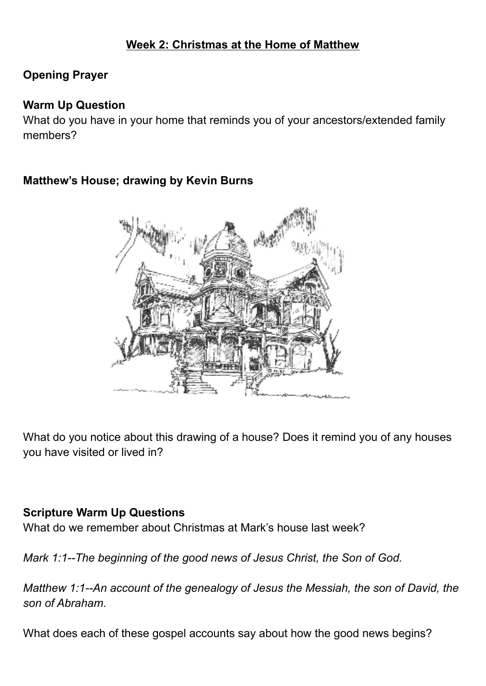# **Week 2: Christmas at the Home of Matthew**

## **Opening Prayer**

#### **Warm Up Question**

What do you have in your home that reminds you of your ancestors/extended family members?

## **Matthew's House; drawing by Kevin Burns**



What do you notice about this drawing of a house? Does it remind you of any houses you have visited or lived in?

#### **Scripture Warm Up Questions**

What do we remember about Christmas at Mark's house last week?

*Mark 1:1--The beginning of the good news of Jesus Christ, the Son of God.*

*Matthew 1:1--An account of the genealogy of Jesus the Messiah, the son of David, the son of Abraham.*

What does each of these gospel accounts say about how the good news begins?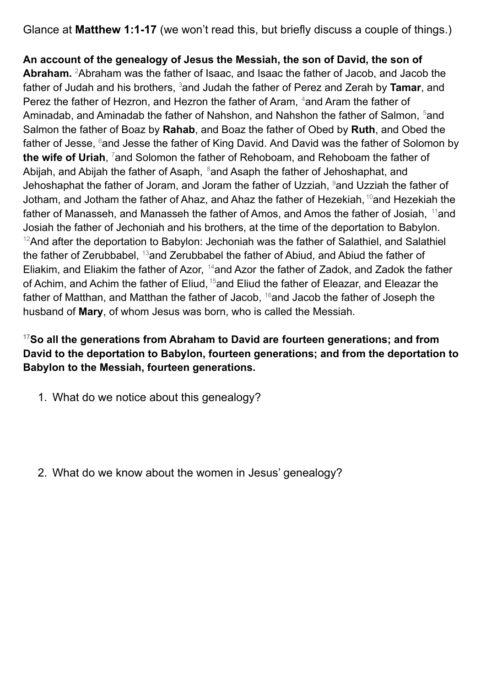Glance at **Matthew 1:1-17** (we won't read this, but briefly discuss a couple of things.)

**An account of the genealogy of Jesus the Messiah, the son of David, the son of** Abraham. <sup>2</sup>Abraham was the father of Isaac, and Isaac the father of Jacob, and Jacob the father of Judah and his brothers, <sup>3</sup>and Judah the father of Perez and Zerah by **Tamar**, and Perez the father of Hezron, and Hezron the father of Aram, <sup>4</sup>and Aram the father of Aminadab, and Aminadab the father of Nahshon, and Nahshon the father of Salmon, <sup>5</sup>and Salmon the father of Boaz by **Rahab**, and Boaz the father of Obed by **Ruth**, and Obed the father of Jesse,  $6$ and Jesse the father of King David. And David was the father of Solomon by **the wife of Uriah**, <sup>7</sup>and Solomon the father of Rehoboam, and Rehoboam the father of Abijah, and Abijah the father of Asaph, <sup>8</sup>and Asaph the father of Jehoshaphat, and Jehoshaphat the father of Joram, and Joram the father of Uzziah, <sup>9</sup>and Uzziah the father of Jotham, and Jotham the father of Ahaz, and Ahaz the father of Hezekiah, <sup>10</sup>and Hezekiah the father of Manasseh, and Manasseh the father of Amos, and Amos the father of Josiah, <sup>11</sup>and Josiah the father of Jechoniah and his brothers, at the time of the deportation to Babylon.  $12$ And after the deportation to Babylon: Jechoniah was the father of Salathiel, and Salathiel the father of Zerubbabel, <sup>13</sup>and Zerubbabel the father of Abiud, and Abiud the father of Eliakim, and Eliakim the father of Azor, <sup>14</sup>and Azor the father of Zadok, and Zadok the father of Achim, and Achim the father of Eliud, <sup>15</sup>and Eliud the father of Eleazar, and Eleazar the father of Matthan, and Matthan the father of Jacob, <sup>16</sup>and Jacob the father of Joseph the husband of **Mary**, of whom Jesus was born, who is called the Messiah.

#### **<sup>17</sup>So all the generations from Abraham to David are fourteen generations; and from David to the deportation to Babylon, fourteen generations; and from the deportation to Babylon to the Messiah, fourteen generations.**

- 1. What do we notice about this genealogy?
- 2. What do we know about the women in Jesus' genealogy?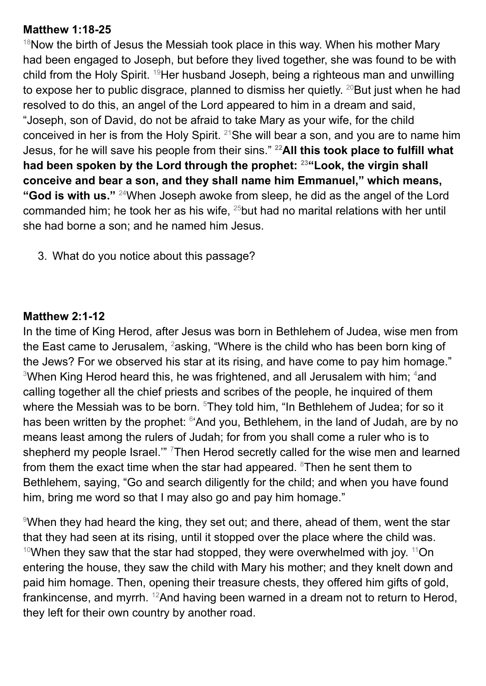#### **Matthew 1:18-25**

 $18$ Now the birth of Jesus the Messiah took place in this way. When his mother Mary had been engaged to Joseph, but before they lived together, she was found to be with child from the Holy Spirit. <sup>19</sup>Her husband Joseph, being a righteous man and unwilling to expose her to public disgrace, planned to dismiss her quietly. <sup>20</sup>But just when he had resolved to do this, an angel of the Lord appeared to him in a dream and said, "Joseph, son of David, do not be afraid to take Mary as your wife, for the child conceived in her is from the Holy Spirit.  $21$ She will bear a son, and you are to name him Jesus, for he will save his people from their sins." **<sup>22</sup>All this took place to fulfill what had been spoken by the Lord through the prophet: <sup>23</sup>"Look, the virgin shall conceive and bear a son, and they shall name him Emmanuel," which means, "God is with us."** <sup>24</sup>When Joseph awoke from sleep, he did as the angel of the Lord commanded him; he took her as his wife,  $25$  but had no marital relations with her until she had borne a son; and he named him Jesus.

3. What do you notice about this passage?

#### **Matthew 2:1-12**

In the time of King Herod, after Jesus was born in Bethlehem of Judea, wise men from the East came to Jerusalem, <sup>2</sup>asking, "Where is the child who has been born king of the Jews? For we observed his star at its rising, and have come to pay him homage."  $3$ When King Herod heard this, he was frightened, and all Jerusalem with him;  $4$ and calling together all the chief priests and scribes of the people, he inquired of them where the Messiah was to be born. <sup>5</sup>They told him, "In Bethlehem of Judea; for so it has been written by the prophet: <sup>6</sup>'And you, Bethlehem, in the land of Judah, are by no means least among the rulers of Judah; for from you shall come a ruler who is to shepherd my people Israel." <sup>7</sup>Then Herod secretly called for the wise men and learned from them the exact time when the star had appeared.  $8$ Then he sent them to Bethlehem, saying, "Go and search diligently for the child; and when you have found him, bring me word so that I may also go and pay him homage."

<sup>9</sup>When they had heard the king, they set out; and there, ahead of them, went the star that they had seen at its rising, until it stopped over the place where the child was.  $10$ When they saw that the star had stopped, they were overwhelmed with joy.  $11$ On entering the house, they saw the child with Mary his mother; and they knelt down and paid him homage. Then, opening their treasure chests, they offered him gifts of gold, frankincense, and myrrh. <sup>12</sup>And having been warned in a dream not to return to Herod, they left for their own country by another road.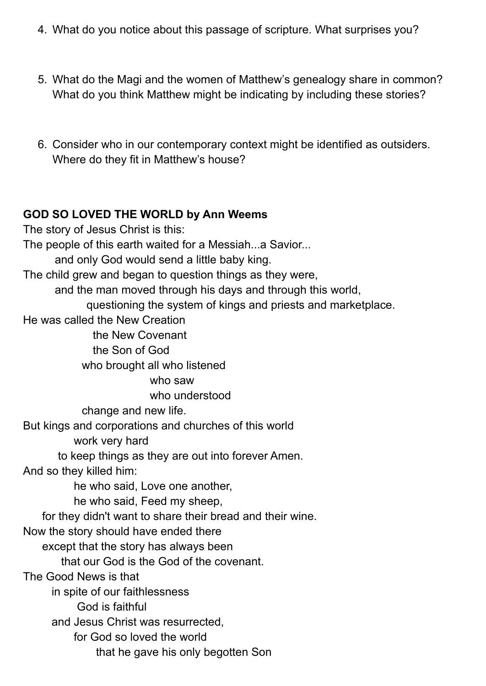- 4. What do you notice about this passage of scripture. What surprises you?
- 5. What do the Magi and the women of Matthew's genealogy share in common? What do you think Matthew might be indicating by including these stories?
- 6. Consider who in our contemporary context might be identified as outsiders. Where do they fit in Matthew's house?

#### **GOD SO LOVED THE WORLD by Ann Weems**

The story of Jesus Christ is this: The people of this earth waited for a Messiah...a Savior... and only God would send a little baby king. The child grew and began to question things as they were, and the man moved through his days and through this world, questioning the system of kings and priests and marketplace. He was called the New Creation the New Covenant the Son of God who brought all who listened who saw who understood change and new life. But kings and corporations and churches of this world work very hard to keep things as they are out into forever Amen. And so they killed him: he who said, Love one another, he who said, Feed my sheep, for they didn't want to share their bread and their wine. Now the story should have ended there except that the story has always been that our God is the God of the covenant. The Good News is that in spite of our faithlessness God is faithful and Jesus Christ was resurrected, for God so loved the world that he gave his only begotten Son